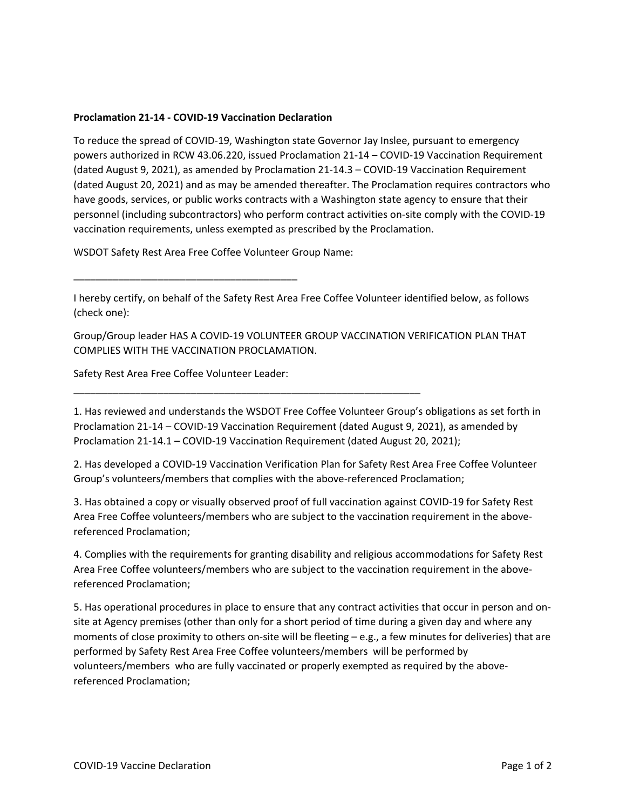## **Proclamation 21‐14 ‐ COVID‐19 Vaccination Declaration**

To reduce the spread of COVID‐19, Washington state Governor Jay Inslee, pursuant to emergency powers authorized in RCW 43.06.220, issued Proclamation 21‐14 – COVID‐19 Vaccination Requirement (dated August 9, 2021), as amended by Proclamation 21‐14.3 – COVID‐19 Vaccination Requirement (dated August 20, 2021) and as may be amended thereafter. The Proclamation requires contractors who have goods, services, or public works contracts with a Washington state agency to ensure that their personnel (including subcontractors) who perform contract activities on‐site comply with the COVID‐19 vaccination requirements, unless exempted as prescribed by the Proclamation.

WSDOT Safety Rest Area Free Coffee Volunteer Group Name:

\_\_\_\_\_\_\_\_\_\_\_\_\_\_\_\_\_\_\_\_\_\_\_\_\_\_\_\_\_\_\_\_\_\_\_\_\_\_\_\_\_\_\_\_\_\_\_\_\_\_\_\_\_\_\_\_\_\_\_\_\_\_

I hereby certify, on behalf of the Safety Rest Area Free Coffee Volunteer identified below, as follows (check one):

Group/Group leader HAS A COVID‐19 VOLUNTEER GROUP VACCINATION VERIFICATION PLAN THAT COMPLIES WITH THE VACCINATION PROCLAMATION.

Safety Rest Area Free Coffee Volunteer Leader:

\_\_\_\_\_\_\_\_\_\_\_\_\_\_\_\_\_\_\_\_\_\_\_\_\_\_\_\_\_\_\_\_\_\_\_\_\_\_\_\_

1. Has reviewed and understands the WSDOT Free Coffee Volunteer Group's obligations as set forth in Proclamation 21‐14 – COVID‐19 Vaccination Requirement (dated August 9, 2021), as amended by Proclamation 21‐14.1 – COVID‐19 Vaccination Requirement (dated August 20, 2021);

2. Has developed a COVID‐19 Vaccination Verification Plan for Safety Rest Area Free Coffee Volunteer Group's volunteers/members that complies with the above-referenced Proclamation;

3. Has obtained a copy or visually observed proof of full vaccination against COVID‐19 for Safety Rest Area Free Coffee volunteers/members who are subject to the vaccination requirement in the above‐ referenced Proclamation;

4. Complies with the requirements for granting disability and religious accommodations for Safety Rest Area Free Coffee volunteers/members who are subject to the vaccination requirement in the above‐ referenced Proclamation;

5. Has operational procedures in place to ensure that any contract activities that occur in person and onsite at Agency premises (other than only for a short period of time during a given day and where any moments of close proximity to others on-site will be fleeting – e.g., a few minutes for deliveries) that are performed by Safety Rest Area Free Coffee volunteers/members will be performed by volunteers/members who are fully vaccinated or properly exempted as required by the above‐ referenced Proclamation;